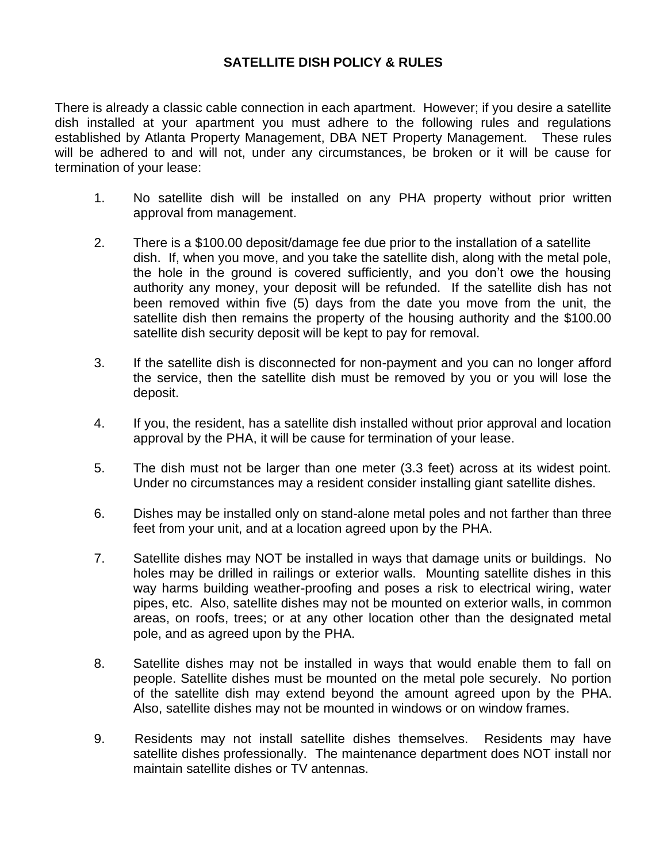## **SATELLITE DISH POLICY & RULES**

There is already a classic cable connection in each apartment. However; if you desire a satellite dish installed at your apartment you must adhere to the following rules and regulations established by Atlanta Property Management, DBA NET Property Management. These rules will be adhered to and will not, under any circumstances, be broken or it will be cause for termination of your lease:

- 1. No satellite dish will be installed on any PHA property without prior written approval from management.
- 2. There is a \$100.00 deposit/damage fee due prior to the installation of a satellite dish. If, when you move, and you take the satellite dish, along with the metal pole, the hole in the ground is covered sufficiently, and you don't owe the housing authority any money, your deposit will be refunded. If the satellite dish has not been removed within five (5) days from the date you move from the unit, the satellite dish then remains the property of the housing authority and the \$100.00 satellite dish security deposit will be kept to pay for removal.
- 3. If the satellite dish is disconnected for non-payment and you can no longer afford the service, then the satellite dish must be removed by you or you will lose the deposit.
- 4. If you, the resident, has a satellite dish installed without prior approval and location approval by the PHA, it will be cause for termination of your lease.
- 5. The dish must not be larger than one meter (3.3 feet) across at its widest point. Under no circumstances may a resident consider installing giant satellite dishes.
- 6. Dishes may be installed only on stand-alone metal poles and not farther than three feet from your unit, and at a location agreed upon by the PHA.
- 7. Satellite dishes may NOT be installed in ways that damage units or buildings. No holes may be drilled in railings or exterior walls. Mounting satellite dishes in this way harms building weather-proofing and poses a risk to electrical wiring, water pipes, etc. Also, satellite dishes may not be mounted on exterior walls, in common areas, on roofs, trees; or at any other location other than the designated metal pole, and as agreed upon by the PHA.
- 8. Satellite dishes may not be installed in ways that would enable them to fall on people. Satellite dishes must be mounted on the metal pole securely. No portion of the satellite dish may extend beyond the amount agreed upon by the PHA. Also, satellite dishes may not be mounted in windows or on window frames.
- 9. Residents may not install satellite dishes themselves. Residents may have satellite dishes professionally. The maintenance department does NOT install nor maintain satellite dishes or TV antennas.